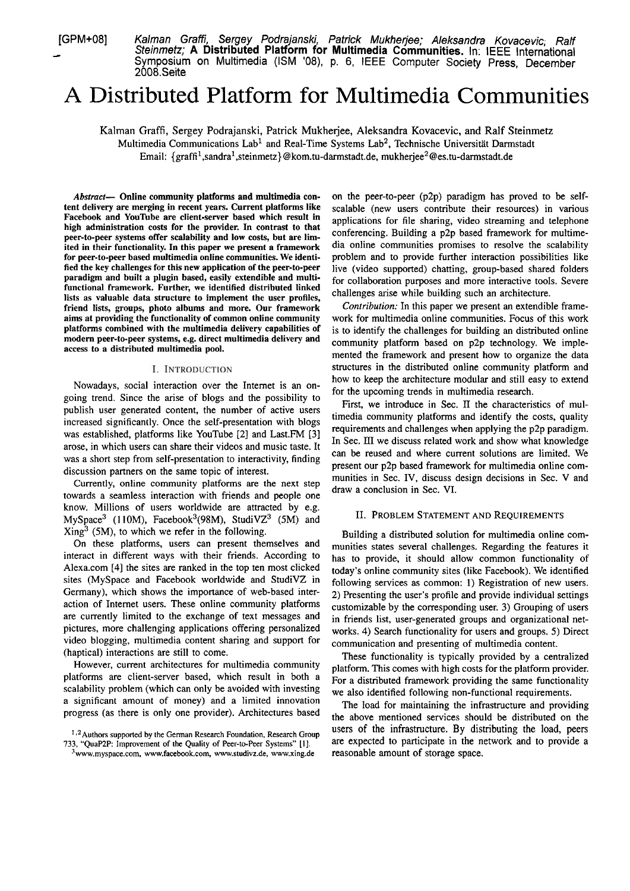[GPM+08] Kalman Grafi, Sergey Podrajanski, Patrick Mukhetjee; Aleksandra Kovacevic; Ralf - Steinmetz; **A Distributed Platform for Multimedia Communities.** In: IEEE International Symposium on Multimedia (ISM '08), p. 6, IEEE Computer Society Press, December 2008.Seite

# A Distributed Platform for Multimedia Communities

Kalman Graffi, Sergey Podrajanski, Patrick Mukhejee, Aleksandra Kovacevic, and Ralf Steinmetz Multimedia Communications Lab<sup>1</sup> and Real-Time Systems Lab<sup>2</sup>, Technische Universität Darmstadt Email: {graffi<sup>1</sup>,sandra<sup>1</sup>,steinmetz}@kom.tu-darmstadt.de, mukherjee<sup>2</sup>@es.tu-darmstadt.de

*Abstmct-* **Online community platforms and multimedia content delivery are merging in recent years. Current platforms like Facebook and YouTube are client-server based which result in high administration costs for the provider. In contrast to that peer-to-peer systems offer scalability and low costs, but are limited in their functionality. In this paper we present a framework for peer-to-peer based multimedia online communities. We identified the key challenges for this new application of the peer-to-peer paradigm and built a plugin based, easily extendible and multifunctional framework. Further, we identified distributed linked lists as valuable data structure to implement the user profiles, friend lists, groups, photo albums and more. Our framework aims at providing the functionality of common online community platforms combined with the multimedia deüvery capabilities of modern peer-to-peer systems, e.g. direct multimedia delivery and access to a distributed multimedia pool.** 

#### I. INTRODUCTION

Nowadays, social interaction over the Internet is an ongoing trend. Since the arise of blogs and the possibility to publish user generated content, the number of active users increased significantly. Once the self-presentation with blogs was established, platforms like YouTube [2] and Last.FM **[3]**  arose, in which users can share their videos and music taste. It was a short step from self-presentation to interactivity, finding discussion partners on the same topic of interest.

Currently, online community platforms are the next step towards a seamless interaction with friends and people one know. Millions of users worldwide are attracted by e.g. MySpace<sup>3</sup> (110M), Facebook<sup>3</sup>(98M), StudiVZ<sup>3</sup> (5M) and II. PROBLEM STATEMENT AND REQUIREMENTS  $Xing<sup>3</sup>$  (5M), to which we refer in the following.

On these platforms, users can present themselves and interact in different ways with their friends. According to Alexa.com [4] the sites are ranked in the top ten most clicked sites (MySpace and Facebook worldwide and StudiVZ in Germany), which shows the importance of web-based interaction of Internet users. These online community platforms are currently limited to the exchange of text messages and pictures, more challenging applications offenng personalized video blogging, multimedia content sharing and Support for (haptical) interactions are still to come.

However, current architectures for multimedia community platforms are client-server based, which result in both a scalability problem (which can only be avoided with investing a significant amount of money) and a limited innovation progress (as there is only one provider). Architectures based on the peer-to-peer (p2p) paradigm has proved to be selfscalable (new users contribute their resources) in various applications for file sharing, video streaming and telephone conferencing. Building a p2p based framework for multimedia online communities promises to resolve the scalability problem and to provide further interaction possibilities like live (video supported) chatting, group-based shared folders for collaboration purposes and more interactive tools. Severe challenges arise while building such an architecture.

*Contribution:* In this paper we present an extendible framework for multimedia online communities. Focus of this work is to identify the challenges for building an distributed online community platform based on p2p technology. We implemented the framework and present how to organize the data structures in the distributed online community platform and how to keep the architecture modular and still easy to extend for the upcoming trends in multimedia research.

First, we introduce in Sec. **iI** the characteristics of multimedia community platforms and identify the costs, quality requirements and challenges when applying the p2p paradigm. In Sec. III we discuss related work and show what knowledge can be reused and where current solutions are limited. We present our p2p based framework for multimedia online communities in Sec. IV, discuss design decisions in Sec. V and draw a conclusion in Sec. VI.

Building a distributed solution for multimedia online communities states several challenges. Regarding the features it has to provide, it should allow common functionality of today's online community sites (like Facebook). We identified following services as common: 1) Registration of new users. **2)** Presenting the user's profile and provide individual settings customizable by the corresponding user. **3)** Grouping of users in friends list, user-generated groups and organizational networks. 4) Search functionality for users and groups. 5) Direct communication and presenting of multimedia content.

These functionality is typically provided by a centralized platform. This Comes with high costs for the platform provider. For a distributed framework providing the same functionality we also identified following non-functional requirements.

The load for maintaining the infrastructure and providing the above mentioned services should be distributed on the <sup>1,2</sup> Authors supported by the German Research Foundation, Research Group<br>
733, "QuaP2P: Improvement of the Quality of Peer-to-Peer Systems" [1]. **are expected to participate in the network and to provide a** are expected to participate in the network and to provide a reasonable amount of storage space.

<sup>&</sup>lt;sup>3</sup>www.myspace.com, www.facebook.com, www.studivz.de, www.xing.de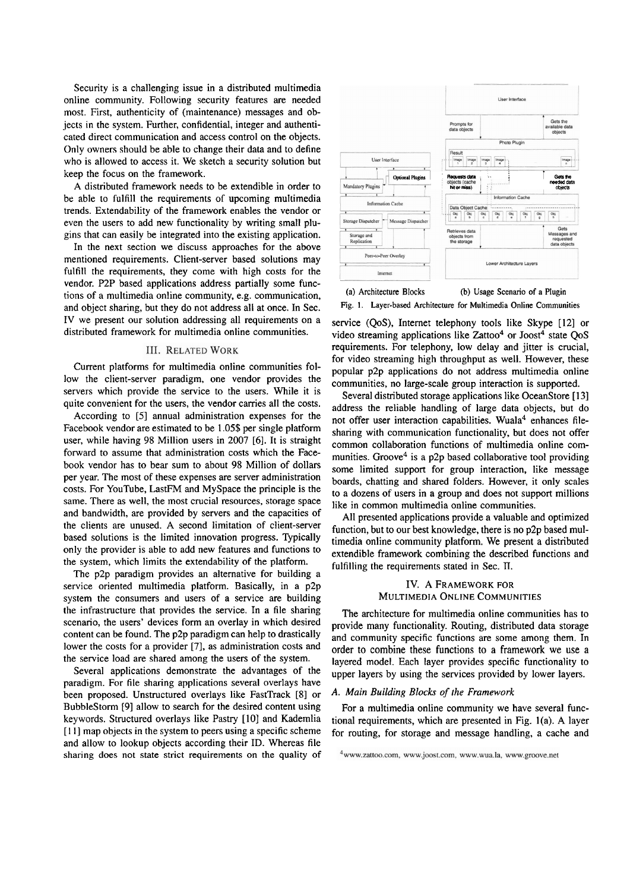Security is a challenging issue in a distributed multimedia online community. Following security features are needed most. First, authenticity of (maintenance) messages and objects in the system. Further, confidential, integer and authenticated direct communication and access control on the objects. Only owners should be able to change their data and to define who is allowed to access it. We sketch a security solution but keep the focus on the framework.

A distributed framework needs to be extendible in order to be able to fulfill the requirements of upcoming multimedia trends. Extendability of the framework enables the vendor or even the users to add new functionality by writing small plugins that can easily be integrated into the existing application.

In the next section we discuss approaches for the above mentioned requirements. Client-server based solutions may fulfill the requirements, they come with high costs for the vendor. P2P based applications address partially some functions of a multimedia online community, e.g. communication, and object sharing, but they do not address all at once. In Sec. IV we present our solution addressing all requirements on a distributed framework for multimedia online communities.

#### **III. RELATED WORK**

Current platforms for multimedia online communities follow the client-server paradigm, one vendor provides the servers which provide the service to the users. While it is quite convenient for the users, the vendor carries all the costs.

According to [5] annual administration expenses for the Facebook vendor are estimated to be 1.05\$ per single platform user, while having 98 Million users in 2007 [6]. It is straight fonvard to assume that administration costs which the Facebook vendor has to bear sum to about 98 Million of dollars per year. The most of these expenses are server administration costs. For YouTube, LastFM and MySpace the principle is the same. There as well, the most crucial resources, storage space and bandwidth, are provided by servers and the capacities of the clients are unused. A second limitation of client-server based solutions is the limited innovation progress. Typically only the provider is able to add new features and functions to the system, which limits the extendability of the platform.

The p<sub>2p</sub> paradigm provides an alternative for building a service oriented multimedia platform. Basically, in a p2p system the consumers and users of a service are building the infrastructure that provides the service. In a file sharing scenario, the users' devices form an overlay in which desired content can be found. The p2p paradigm can help to drastically lower the costs for a provider [7], as administration costs and the service load are shared among the users of the system.

Several applications demonstrate the advantages of the paradigm. For file sharing applications several overlays have been proposed. Unstructured overlays like FastTrack [8] or BubbleStorm [9] allow to search for the desired content using keywords. Structured overlays like Pastry [10] and Kademlia [I I] map objects in the system to peers using a specific scheme and allow to lookup objects according their ID. Whereas file sharing does not state strict requirements on the quality of



(a) Architecture Blocks (b) Usage Scenario of a Plugin Fig. 1. Layer-based Architeciure for Multimedia Online Communities

service (QoS), Internet telephony tools like Skype [12] or video streaming applications like  $Zattoo<sup>4</sup>$  or Joost<sup>4</sup> state QoS requirements. For telephony, low delay and jitter is cmcial, for video streaming high throughput as well. However, these popular p2p applications do not address multimedia online communities, no large-scale group interaction is supported.

Several distributed storage applications like OceanStore **[I** 31 address the reliable handling of large data objects, but do not offer user interaction capabilities. Wuala<sup>4</sup> enhances filesharing with communication functionality, but does not offer common collaboration functions of multimedia online communities. Groove<sup>4</sup> is a p2p based collaborative tool providing some limited support for group interaction, like message boards, chatting and shared folders. However, it only scales to a dozens of users in a group and does not support millions like in common multimedia online communities.

All presented applications provide a valuable and optimized function, but to our best knowledge. there is no p2p based multimedia online community platform. We present a distributed extendible framework combining the described functions and fulfilling the requirements stated in Sec. **Tl.** 

#### IV. A FRAMEWORK FOR MULTIMEDIA ONLINE COMMUNITIES

The architecture for multimedia online communities has to provide many functionality. Routing, distributed data storage and community specific functions are some among them. In order to combine these functions to a framework we use a layered model. Each layer provides specific functionality to upper layers by using the services provided by lower layers.

## **A.** *Main Buiiding Blocks* **of** *the Framework*

For a multimedia online community we have several functional requirements, which are presented in Fig. l(a). **A** layer for routing, for storage and message handling, a cache and

<sup>4</sup>www.zattoo.com, www.joost.com, www.wua.la, www.groove.net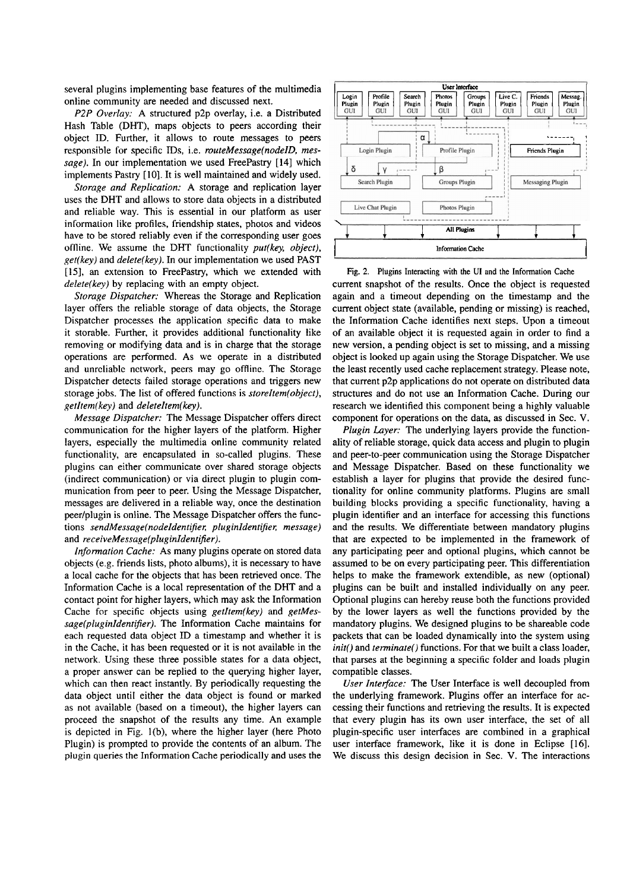several plugins implementing base features of the multimedia online community are needed and discussed next.

P2P Overlay: A structured p2p overlay, i.e. a Distributed Hash Table (DHT), maps objects to peers according their object ID. Further, it allows to route messages to peers responsible for specific IDs, i.e. *routeMessage(nodeID, message).* In our implementation we used FreePastry [14] which implements Pastry [10]. It is well maintained and widely used.

*Storage and Replication:* A storage and replication layer uses the DHT and allows to store data objects in a distributed and reliable way. This is essential in our platform as user information like profiles, friendship states, photos and videos have to be stored reliably even if the corresponding user goes offline. We assume the DHT functionality *put(key, object)*, *get(key)* and *delete(key).* In our implementation we used PAST [15], an extension to FreePastry, which we extended with *deletefkey)* by replacing with an empty object.

*Storage Dispatcher:* Whereas the Storage and Replication layer offers the reliable storage of data objects, the Storage Dispatcher processes the application specific data to make it storable. Further, it provides additional functionality like removing or modifying data and is in charge that the storage operations are performed. As we operate in a distributed and unrcliablc nctwork, pecrs may go offline. The Storage Dispatcher detects failed storage operations and triggers new storage jobs. The list of offered functions is *storeItem(object), geiItem(key)* and *deleteItem(key).* 

*Message Dispatcher:* The Message Dispatcher offers direct communication for the higher layers of the platform. Higher layers, especially the multimedia online community related functionality, are encapsulated in so-called plugins. These plugins can either communicate over shared storage objects (indirect communication) or via direct plugin to plugin communication from peer to peer. Using the Message Dispatcher, messages are delivered in a reliable way, once the destination peer/plugin is online. The Message Dispatcher offers the functions **sendMessage(node1dentifier;** *pluginldentijier; message)*  and *receiveMessage(pluginIdentifier)*.

*Information Cache:* As many plugins operate on stored data objects (e.g. friends lists, photo albums), it is necessary to have a local cache for the objects that has been retrieved once. The Information Cache is a local representation of the DHT and a contact point for higher layers, which may ask the Information Cache for specific objects using *getItern(key)* and *getMessage(plugin1dentifier).* The Information Cache maintains for each requested data object ID a timestamp and whether it is in the Cache, it has been requested or it is not available in the network. Using these three possible states for a data object, a proper answer can be replied to the querying higher layer, which can then react instantly. By periodically requesting the data object until either the data object is found or marked as not available (based on a timeout), the higher layers can proceed the snapshot of the results any time. An example is depicted in Fig. I(b), where the higher layer (here Photo Plugin) is prompted to provide the contents of an album. The plugin queries the Information Cache periodically and uses the



**Fig. 2. Plugins Interacting with the U1 and the Information Cache**  current snapshot of the results. Once the object is requested again and a timeout depending on the timestamp and the current object state (available, pending or missing) is reached, the Information Cache identifies next steps. Upon a timeout of an available object it is requested again in order to find a new version, a pending object is set to missing, and a missing object is looked up again using the Storage Dispatcher. We use the least recently used cache replacement strategy. Please note, that current p2p applications do not operate on distributed data structures and do not use an Information Cache. During our research we identified this component being a highly valuable component for operations on the data, as discussed in Sec. V.

*Plugin Layer:* The underlying layers provide the functionality of reliable storage, quick data access and plugin to plugin and peer-to-peer communication using the Storage Dispatcher and Message Dispatcher. Based on these functionality we establish a layer for plugins that provide the desired functionality for online comrnunity platforms. Plugins are small building blocks providing a specific functionality, having a plugin identifier and an interface for accessing this functions and the results. We differentiate between mandatory plugins that are expected to be implemented in the framework of any participating peer and optional plugins, which cannot be assumed to be on every participating peer. This differentiation helps to make the framework extendible, **as** new (optional) plugins can be built and installed individually on any peer. Optional plugins can hereby reuse both the functions provided by the lower layers as well the functions provided by the mandatory plugins. We designed plugins to be shareable code packets that can be loaded dynamically into the system using *init()* and *terminate()* functions. For that we built a class loader, that parses at the beginning a specific folder and loads plugin compatible classes.

*User Interface:* The User Interface is well decoupled from the underlying framework. Plugins offer an interface for accessing their functions and retrieving the results. It is expected that every plugin has its own User interface, the set of all plugin-specific User interfaces are combined in a graphical user interface framework, like it is done in Eclipse [16]. We discuss this design decision in Sec. V. The interactions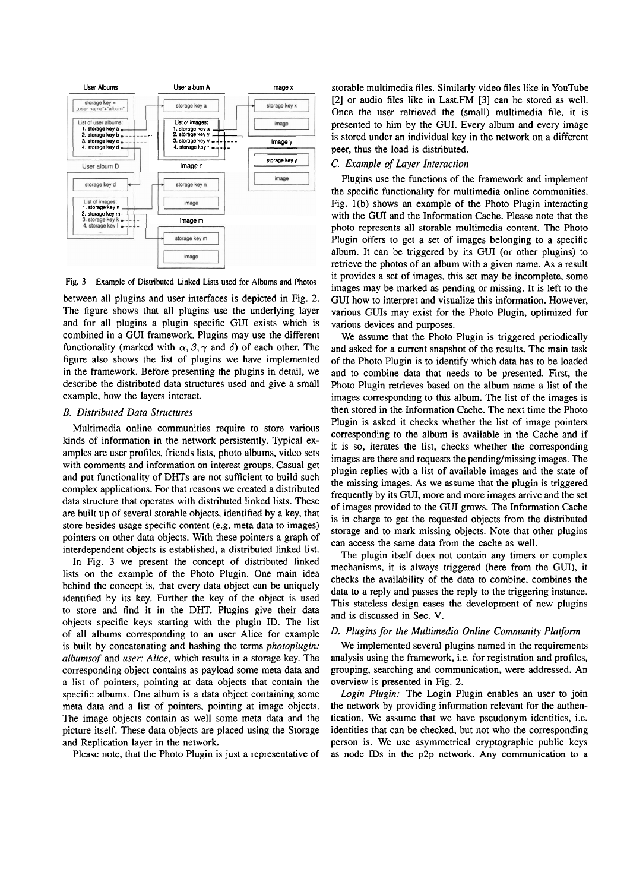

**Fig. 3. Example of Disiributed Linked Lists used for Albums and Photos** 

between all plugins and User interfaces is depicted in Fig. 2. The figure shows that all plugins use the underlying layer and for all plugins a plugin specific GUT exists which is combined in a GUI framework. Plugins may use the different functionality (marked with  $\alpha$ ,  $\beta$ ,  $\gamma$  and  $\delta$ ) of each other. The figure also shows the list of plugins we have implemented in the framework. Before presenting the plugins in detail, we describe the distributed data structures used and give a small example, how the layers interact.

#### *B. Distributed Data Structures*

Multimedia online communities require to store various kinds of information in the network persistently. Typical examples are User profiles, friends lists, photo albums, video sets with comments and information on interest groups. Casual get and put functionality of DHTs are not sufficient to build such complex applications. For that reasons we created a distributed data structure that operates with distributed linked lists. These are huilt up of several storable ohjects, identified by a key, that store hesides usage specific content (e.g. meta data to images) pointers on other data objects. With these pointers a graph of interdependent objects is established, a distributed linked iist.

In Fig. **3** we present the concept of distributed linked lists on the example of the Photo Plugin. One main idea behind the concept is, that every data object can be uniquely identified hy its key. Further the key of the object is used to store and find it in the DHT. Plugins give their data objects specific keys starting with the plugin ID. The list of all albums corresponding to an User Alice for example is built by concatenating and hashing the terms *photoplugin: albumsof* and *user: Alice,* which results in a storage key. The corresponding object contains as payload some meta data and a list of pointers, pointing at data objects that contain the specific albums. One album is a data object containing some meta data and a list of pointers, pointing at image objects. The image objects contain as well some meta data and the picture itself. These data objects are placed using the Storage and Replication layer in the network.

Please note, that the Photo Plugin is just a representative of

storable multimedia files. Similarly video files like in YouTube **[2]** or audio files like in Last.FM **[3]** can be stored as well. Once the user retrieved the (small) multimedia file, it is presented to him by the GUI. Every album and every image is stored under an individual key in the network on a different peer, thus the load is distributed.

#### *C. Example of Layer Interaction*

Plugins use the functions of the framework and implement the spccific functionality for multimedia online communities. Fig. l(b) shows an example of the Photo Plugin interacting with the GUI and the Information Cache. Please note that the photo represents all storable multimedia content. The Photo Plugin offers to get a set of images belonging to a spccific album. It can be triggered by its GUI (or other plugins) to retrieve the photos of an album with a given name. As a result it provides a set of images, this set may be incomplete, some images may be marked as pending or missing. It is left to the GUI how to interpret and visualize this information. However, various GUIs may exist for the Photo Plugin, optimized for various devices and purposes.

We assume that the Photo Plugin is triggered periodically and asked for a current snapshot of the results. The main task of the Photo Plugin is to identify which data has to be loaded and to combine data that needs to be presented. First, the Photo Plugin retrieves based on the album name a list of the images corresponding to this album. The list of the images is then stored in the Information Cache. The next time the Photo Plugin is asked it checks whether the list of image pointers corresponding to the album is available in the Cache and if it is so, iterates the list, checks whether the corresponding images are there and requests the pending/missing images. The plugin replies with a list of available images and the state of the missing images. As we assume that the plugin is triggered frequently by its GUT, more and more images arrive and the set of images provided to the GUI grows. The Information Cache is in charge to get the requested objects from the distributed storage and to mark missing objects. Note that other plugins can access the same data from the cache as well.

The plugin itself does not contain any timers or complex mechanisms, it is always triggered (here from the GUI), it checks the availability of the data to combine, combines the data to a reply and passes the reply to the triggering instance. This stateless design eases the development of new plugins and is discussed in Sec. V.

#### *D. Plugins for the Multimedia Online Community Platform*

We implemented several plugins named in the requirements analysis using the frarnework, i.e. for registration and profiles, grouping, searching and communication, were addressed. An overview is presented in Fig. 2.

Login Plugin: The Login Plugin enables an user to join the network by providing information relevant for the authentication. We assume that we have pseudonym identities, i.e. identities that can be checked, but not who the corresponding person is. We use asymmetrical cryptographic public keys as node IDs in the p2p network. Any communication to a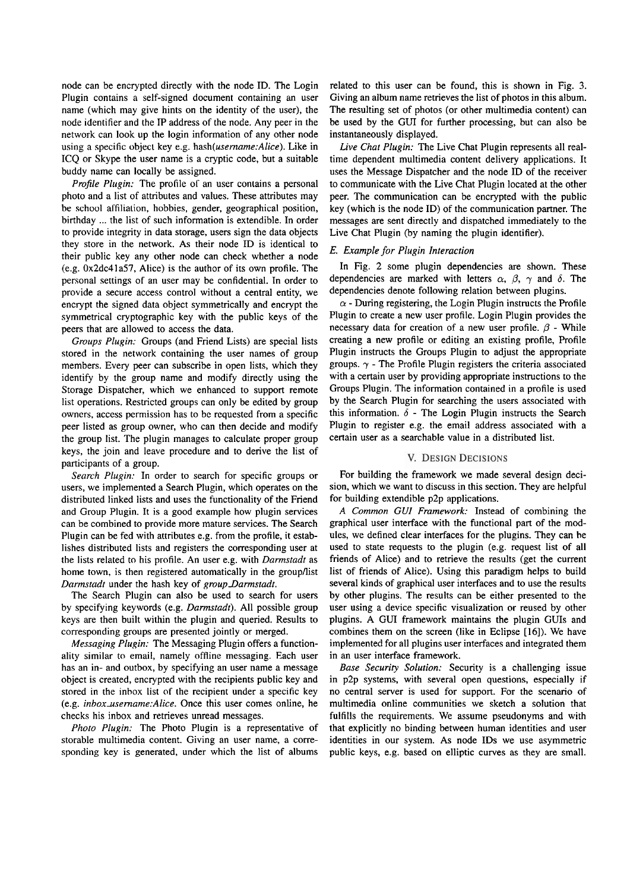node can be encrypted directly with the node ID. The Login Plugin contains a self-signed document containing an user name (which may give hints on the identity of the user), the node identifier and the IP address of the node. Any peer in the network can look up the login information of any other node using a specific object key e.g. *hash(usemame:Alice).* Like in ICQ or Skype the User name is a cryptic code, but a suitable buddy name can locally be assigned.

*Profile Plugin:* The profile of an user contains a personal photo and a list of attributes and values. These attributes may be school affiliation, hobbies, gender, geographical position, birthday ... the list of such information is extendible. In order to provide integrity in data Storage, users sign the data objects they store in the network. As their node ID is identical to their public key any other node can check whether a node (e.g. Ox2dc41a57, Alice) is the author of its own profile. The personal settings of an user may be confidential. In order to provide a secure access control without a central entity, we encrypt the signed data object symmetrically and encrypt the symmetrical cryptographic key with the public keys of the peers that are allowed to access the data.

*Groups Plugin:* Groups (and Friend Lists) are special lists stored in the network containing the user names of group members. Every peer can subscribe in open lists, which they identify by the group name and modify directly using the Storage Dispatcher, which we enhanced to support remote list operations. Restricted groups can only be edited by group owncrs, acccss pcrmission has to bc rcquested from a specific peer listed as group owner, who can then decide and modify the group list. The plugin manages to calculate proper group keys, the join and leave procedure and to derive the list of participants of a group.

*Search Plugin:* In order to search for specific groups or users, we implemented a Search Plugin, which operates on the distributed linked lists and uses the functionality of the Friend and Group Plugin. It is a good example how plugin services can be combined to provide more mature services. The Search Plugin can be fed with attributes e.g. from the profile, it establishes distributed lists and registers the corresponding user at the lists related to his profile. An User e.g. with *Darmstadt* as home town, is then registered automatically in the group/list *Darmstadt* under the hash key of *group\_Darmstadt*.

The Search Plugin can also be used to search for users by specifying keywords (e.g. *Darnzstadt).* All possible group keys are then built within the plugin and queried. Results to corresponding groups are presented jointly or merged.

*Messaging Plugin:* The Messaging Plugin offers a functionality similar to email, namely offline messaging. Each user has an in- and outbox, by specifying an user name a message object is created, encrypted with the recipients public key and stored in the inhox list of the recipient under a specific key (e.g. *inbox\_username:Alice*. Once this user comes online, he checks his inbox and retrieves unread messages.

*Photo Plugin:* The Photo Plugin is a representative of storable multimedia content. Giving an user name, a corresponding key is generated, under which the list of albums related to this user can be found, this is shown in Fig. **3.**  Giving an album name retrieves the list of photos in this album. The resulting set of photos (or other multimedia content) can be used by the GUI for further processing, but can also be instantaneously displayed.

*Live Chat Plugin:* The Live Chat Plugin represents all realtime dependent multimedia content delivery applications. It uses the Message Dispatcher and the node ID of the receiver to communicate with the Live Chat Plugin located at the other peer. The communication can be encrypted with the public key (which is the node ID) of the communication partner. The messages are sent directly and dispatched immediately to the Live Chat Plugin (by naming the plugin identifier).

#### *E. Example for Plugin Interaction*

In Fig. 2 some plugin dependencies are shown. These dependencies are marked with letters  $\alpha$ ,  $\beta$ ,  $\gamma$  and  $\delta$ . The dependencies denote following relation between plugins.

 $\alpha$  - During registering, the Login Plugin instructs the Profile Plugin to create a new User profile. Login Plugin provides the necessary data for creation of a new user profile.  $\beta$  - While creating a new profile or editing an existing profile, Profile Plugin instructs the Groups Plugin to adjust the appropriate groups.  $\gamma$  - The Profile Plugin registers the criteria associated with a certain user by providing appropriate instructions to the Groups Plugin. The information contained in a profile is used by the Search Plugin for searching the users associated with this information.  $\delta$  - The Login Plugin instructs the Search Plugin to register e.g. the email address associated with a certain User as a searchable value in a distributed list.

### **V. DESIGN DECISIONS**

For building the framework we made several design decision, which we Want to discuss in this section. They are helpful for building extendible p2p applications.

*A Common GUI Framework:* Instead of combining the graphical User interface with the functional part of the modules, we defined clear interfaces for the plugins. They can be used to state requests to the plugin (e.g. request list of all friends of Alice) and to retrieve the results (get the current list of friends of Alice). Using this paradigm helps to build several kinds of graphical user interfaces and to use the results by other plugins. The results can be either presented to the user using a device specific visualization or reused by other plugins. A GUI framework maintains the plugin GUIs and combines them on the screen (like in Eclipse **[16]).** We have implemented for all plugins user interfaces and integrated them in an user interface framework.

*Base Security Solution:* Secunty is a challenging issue in p2p systems, with several open questions, especially if no central server is used for support. For the scenario of multimedia online communities we Sketch a solution that fulfills the requirements. We assume pseudonyms and with that explicitly no binding between human identities and user identities in our system. As node IDs we use asymmetric public keys, e.g. based on elliptic curves as they are small.